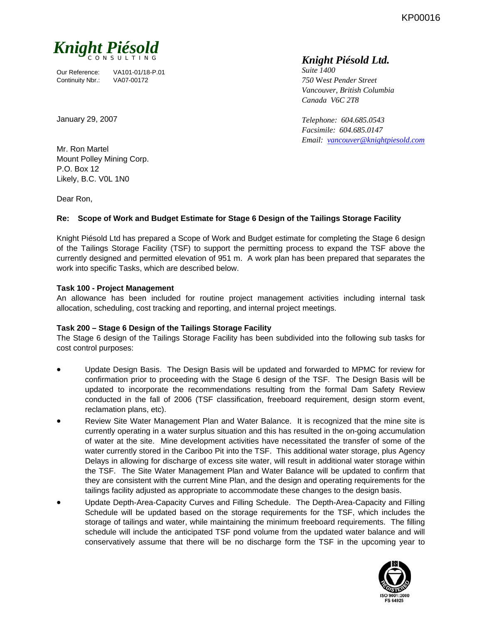KP00016



Our Reference: VA101-01/18-P.01 Continuity Nbr.: VA07-00172

### January 29, 2007

*Suite 1400 750* We*st Pender Street Vancouver, British Columbia Canada V6C 2T8* 

*Telephone: 604.685.0543 Facsimile: 604.685.0147 Email: vancouver@knightpiesold.com*

Mr. Ron Martel Mount Polley Mining Corp. P.O. Box 12 Likely, B.C. V0L 1N0

Dear Ron,

## **Re: Scope of Work and Budget Estimate for Stage 6 Design of the Tailings Storage Facility**

Knight Piésold Ltd has prepared a Scope of Work and Budget estimate for completing the Stage 6 design of the Tailings Storage Facility (TSF) to support the permitting process to expand the TSF above the currently designed and permitted elevation of 951 m. A work plan has been prepared that separates the work into specific Tasks, which are described below.

### **Task 100 - Project Management**

An allowance has been included for routine project management activities including internal task allocation, scheduling, cost tracking and reporting, and internal project meetings.

### **Task 200 – Stage 6 Design of the Tailings Storage Facility**

The Stage 6 design of the Tailings Storage Facility has been subdivided into the following sub tasks for cost control purposes:

- Update Design Basis. The Design Basis will be updated and forwarded to MPMC for review for confirmation prior to proceeding with the Stage 6 design of the TSF. The Design Basis will be updated to incorporate the recommendations resulting from the formal Dam Safety Review conducted in the fall of 2006 (TSF classification, freeboard requirement, design storm event, reclamation plans, etc).
- Review Site Water Management Plan and Water Balance. It is recognized that the mine site is currently operating in a water surplus situation and this has resulted in the on-going accumulation of water at the site. Mine development activities have necessitated the transfer of some of the water currently stored in the Cariboo Pit into the TSF. This additional water storage, plus Agency Delays in allowing for discharge of excess site water, will result in additional water storage within the TSF. The Site Water Management Plan and Water Balance will be updated to confirm that they are consistent with the current Mine Plan, and the design and operating requirements for the tailings facility adjusted as appropriate to accommodate these changes to the design basis.
- Update Depth-Area-Capacity Curves and Filling Schedule. The Depth-Area-Capacity and Filling Schedule will be updated based on the storage requirements for the TSF, which includes the storage of tailings and water, while maintaining the minimum freeboard requirements. The filling schedule will include the anticipated TSF pond volume from the updated water balance and will conservatively assume that there will be no discharge form the TSF in the upcoming year to

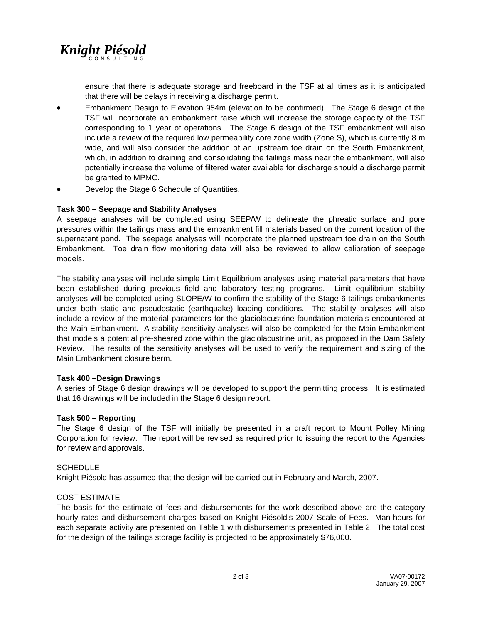

ensure that there is adequate storage and freeboard in the TSF at all times as it is anticipated that there will be delays in receiving a discharge permit.

- Embankment Design to Elevation 954m (elevation to be confirmed). The Stage 6 design of the TSF will incorporate an embankment raise which will increase the storage capacity of the TSF corresponding to 1 year of operations. The Stage 6 design of the TSF embankment will also include a review of the required low permeability core zone width (Zone S), which is currently 8 m wide, and will also consider the addition of an upstream toe drain on the South Embankment, which, in addition to draining and consolidating the tailings mass near the embankment, will also potentially increase the volume of filtered water available for discharge should a discharge permit be granted to MPMC.
- Develop the Stage 6 Schedule of Quantities.

### **Task 300 – Seepage and Stability Analyses**

A seepage analyses will be completed using SEEP/W to delineate the phreatic surface and pore pressures within the tailings mass and the embankment fill materials based on the current location of the supernatant pond. The seepage analyses will incorporate the planned upstream toe drain on the South Embankment. Toe drain flow monitoring data will also be reviewed to allow calibration of seepage models.

The stability analyses will include simple Limit Equilibrium analyses using material parameters that have been established during previous field and laboratory testing programs. Limit equilibrium stability analyses will be completed using SLOPE/W to confirm the stability of the Stage 6 tailings embankments under both static and pseudostatic (earthquake) loading conditions. The stability analyses will also include a review of the material parameters for the glaciolacustrine foundation materials encountered at the Main Embankment. A stability sensitivity analyses will also be completed for the Main Embankment that models a potential pre-sheared zone within the glaciolacustrine unit, as proposed in the Dam Safety Review. The results of the sensitivity analyses will be used to verify the requirement and sizing of the Main Embankment closure berm.

### **Task 400 –Design Drawings**

A series of Stage 6 design drawings will be developed to support the permitting process. It is estimated that 16 drawings will be included in the Stage 6 design report.

### **Task 500 – Reporting**

The Stage 6 design of the TSF will initially be presented in a draft report to Mount Polley Mining Corporation for review. The report will be revised as required prior to issuing the report to the Agencies for review and approvals.

### **SCHEDULE**

Knight Piésold has assumed that the design will be carried out in February and March, 2007.

### COST ESTIMATE

The basis for the estimate of fees and disbursements for the work described above are the category hourly rates and disbursement charges based on Knight Piésold's 2007 Scale of Fees. Man-hours for each separate activity are presented on Table 1 with disbursements presented in Table 2. The total cost for the design of the tailings storage facility is projected to be approximately \$76,000.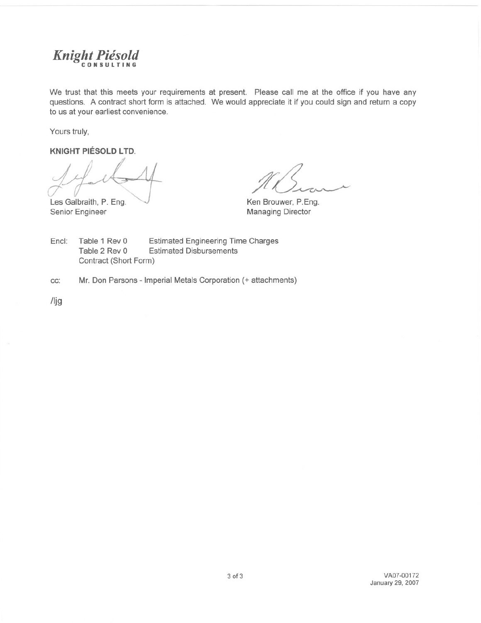

We trust that this meets your requirements at present. Please call me at the office if you have any questions. A contract short form is attached. We would appreciate it if you could sign and return a copy to us at your earliest convenience.

Yours truly,

**KNIGHT PIÉSOLD LTD.** 

Les Galbraith, P. Eng. Senior Engineer

Ken Brouwer, P.Eng. **Managing Director** 

Encl: Table 1 Rev 0 **Estimated Engineering Time Charges** Table 2 Rev 0 **Estimated Disbursements** Contract (Short Form)

CC: Mr. Don Parsons - Imperial Metals Corporation (+ attachments)

 $\frac{\pi}{3}$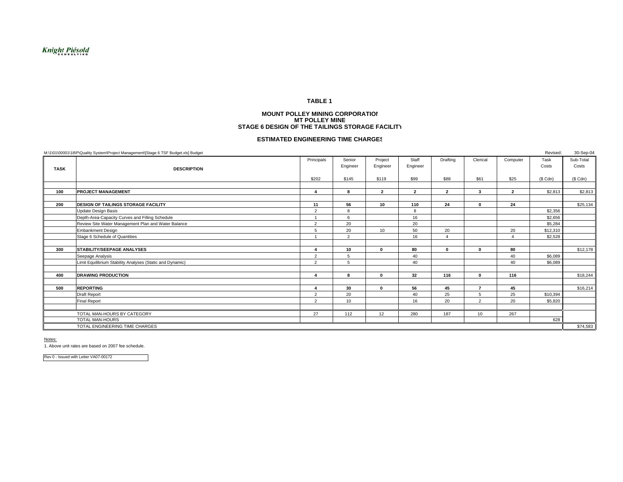#### **TABLE 1**

#### **MOUNT POLLEY MINING CORPORATIONMT POLLEY MINESTAGE 6 DESIGN OF THE TAILINGS STORAGE FACILITY**

#### **ESTIMATED ENGINEERING TIME CHARGES**

|                                | M:\1\01\00001\18\P\Quality System\Project Management\[Stage 6 TSF Budget.xls] Budget |                |                |                |                |                |                |                | Revised:     | 30-Sep-04 |
|--------------------------------|--------------------------------------------------------------------------------------|----------------|----------------|----------------|----------------|----------------|----------------|----------------|--------------|-----------|
|                                |                                                                                      | Principals     | Senior         | Project        | Staff          | Drafting       | Clerical       | Computer       | Task         | Sub-Total |
| <b>TASK</b>                    | <b>DESCRIPTION</b>                                                                   |                | Engineer       | Engineer       | Engineer       |                |                |                | Costs        | Costs     |
|                                |                                                                                      |                |                |                |                |                |                |                |              |           |
|                                |                                                                                      | \$202          | \$145          | \$119          | \$99           | \$88           | \$61           | \$25           | $(S$ Cdn $)$ | $(S$ Cdn) |
|                                |                                                                                      |                |                |                |                |                |                |                |              |           |
| 100                            | <b>PROJECT MANAGEMENT</b>                                                            |                | 8              | $\overline{2}$ | $\overline{2}$ | $\overline{2}$ | 3              | $\overline{2}$ | \$2,813      | \$2,813   |
|                                |                                                                                      |                |                |                |                |                |                |                |              |           |
| 200                            | <b>DESIGN OF TAILINGS STORAGE FACILITY</b>                                           | 11             | 56             | 10             | 110            | 24             | $\Omega$       | 24             |              | \$25,134  |
|                                | <b>Update Design Basis</b>                                                           | 2              | 8              |                | 8              |                |                |                | \$2,356      |           |
|                                | Depth-Area-Capacity Curves and Filling Schedule                                      |                | $\epsilon$     |                | 16             |                |                |                | \$2,656      |           |
|                                | Review Site Water Management Plan and Water Balance                                  | $\overline{2}$ | 20             |                | 20             |                |                |                | \$5,284      |           |
|                                | <b>Embankment Design</b>                                                             | $5^{\circ}$    | 20             | 10             | 50             | 20             |                | 20             | \$12,310     |           |
|                                | Stage 6 Schedule of Quantities                                                       |                | $\overline{2}$ |                | 16             |                |                |                | \$2,528      |           |
|                                |                                                                                      |                |                |                |                |                |                |                |              |           |
| 300                            | <b>STABILITY/SEEPAGE ANALYSES</b>                                                    |                | 10             | $\mathbf{0}$   | 80             | $\mathbf{0}$   | $\Omega$       | 80             |              | \$12,178  |
|                                | Seepage Analysis                                                                     | 2              | 5              |                | 40             |                |                | 40             | \$6,089      |           |
|                                | Limit Equilibrium Stability Analyses (Static and Dynamic)                            | 2              | 5              |                | 40             |                |                | 40             | \$6,089      |           |
|                                |                                                                                      |                |                |                |                |                |                |                |              |           |
| 400                            | <b>DRAWING PRODUCTION</b>                                                            |                | 8              | $\mathbf 0$    | 32             | 116            | $\Omega$       | 116            |              | \$18,244  |
|                                |                                                                                      |                |                |                |                |                |                |                |              |           |
| 500                            | <b>REPORTING</b>                                                                     |                | 30             | $\mathbf{0}$   | 56             | 45             | $\overline{ }$ | 45             |              | \$16,214  |
|                                | Draft Report                                                                         | 2              | 20             |                | 40             | 25             | $\overline{5}$ | 25             | \$10,394     |           |
|                                | <b>Final Report</b>                                                                  | 2              | 10             |                | 16             | 20             | 2              | 20             | \$5,820      |           |
|                                |                                                                                      |                |                |                |                |                |                |                |              |           |
|                                | TOTAL MAN-HOURS BY CATEGORY                                                          | 27             | 112            | 12             | 280            | 187            | 10             | 267            |              |           |
|                                | <b>TOTAL MAN-HOURS</b>                                                               |                |                |                |                |                |                |                | 628          |           |
| TOTAL ENGINEERING TIME CHARGES |                                                                                      |                |                |                |                |                |                |                | \$74,583     |           |

Notes:

1. Above unit rates are based on 2007 fee schedule.

Rev 0 - Issued with Letter VA07-00172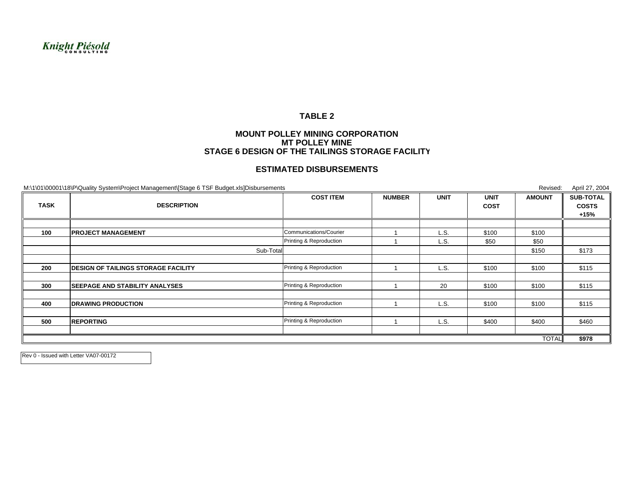# Knight Piésold

### **TABLE 2**

### **MOUNT POLLEY MINING CORPORATIONMT POLLEY MINESTAGE 6 DESIGN OF THE TAILINGS STORAGE FACILITY**

### **ESTIMATED DISBURSEMENTS**

M:\1\01\00001\18\P\Quality System\Project Management\[Stage 6 TSF Budget.xls]Disbursements Revised: April 27, 2004 **NUMBER UNIT UNIT AMOUNT SUB-TOTALCOST COSTS +15%100 PROJECT MANAGEMENT** 1 L.S. \$100 \$100 Communications/Courier1 | L.S. | \$50 | \$50 Sub-Total \$150 \$173 **200 DESIGN OF TAILINGS STORAGE FACILITY1** L.S. | \$100 | \$100 | \$115 **300 SEEPAGE AND STABILITY ANALYSES** 1 20 \$100 \$100 \$115 Printing & Reproduction **400 DRAWING PRODUCTION** 1 L.S. \$100 \$100 \$115 Printing & Reproduction **500 REPORTING**1 L.S. | \$400 || \$460 || \$460 || \$460 || \$460 || \$400 || \$460 || \$460 || \$460 || TOTAL **\$978** Printing & Reproduction Printing & Reproduction **COST ITEMTASK DESCRIPTION**

Rev 0 - Issued with Letter VA07-00172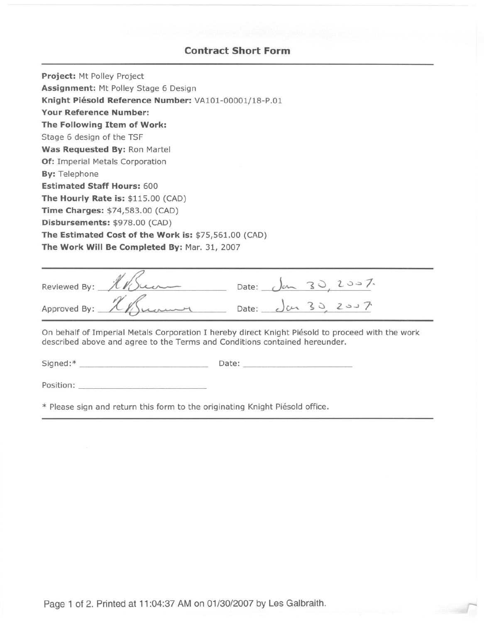# **Contract Short Form**

Project: Mt Polley Project Assignment: Mt Polley Stage 6 Design Knight Piésold Reference Number: VA101-00001/18-P.01 **Your Reference Number:** The Following Item of Work: Stage 6 design of the TSF Was Requested By: Ron Martel Of: Imperial Metals Corporation **By: Telephone Estimated Staff Hours: 600** The Hourly Rate is: \$115.00 (CAD) Time Charges: \$74,583.00 (CAD) Disbursements: \$978.00 (CAD) The Estimated Cost of the Work is: \$75,561.00 (CAD) The Work Will Be Completed By: Mar. 31, 2007

| Reviewed By: 11Sum        |                                 |  | Date: $\int_{\text{cm}} 30, 20 = 7$ |
|---------------------------|---------------------------------|--|-------------------------------------|
| Approved By: 1 / Lawrence | $-$ Date: $\sqrt{u_1}$ 30, 2007 |  |                                     |

On behalf of Imperial Metals Corporation I hereby direct Knight Piésold to proceed with the work described above and agree to the Terms and Conditions contained hereunder.

Position: New York Position and Position of the Contract of the Contract of the Contract of the Contract of the Contract of the Contract of the Contract of the Contract of the Contract of the Contract of the Contract of th

\* Please sign and return this form to the originating Knight Piésold office.

Page 1 of 2. Printed at 11:04:37 AM on 01/30/2007 by Les Galbraith.